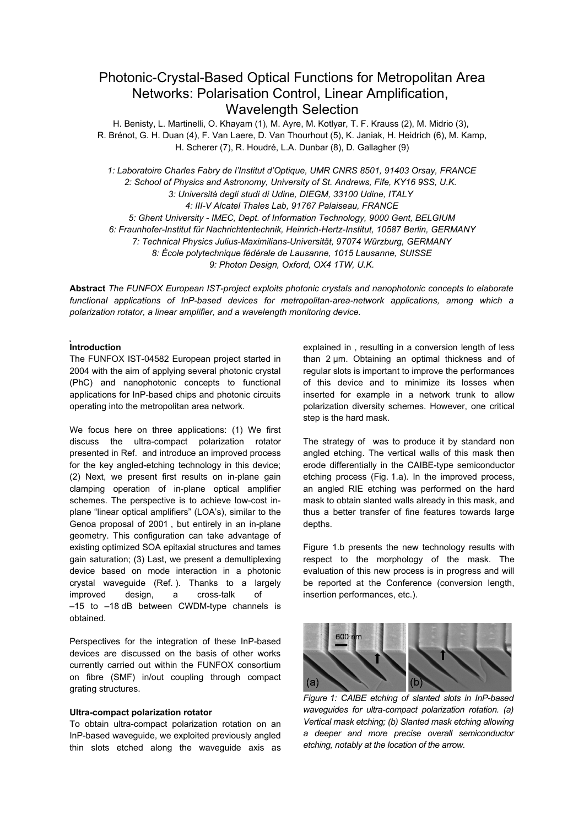# Photonic-Crystal-Based Optical Functions for Metropolitan Area Networks: Polarisation Control, Linear Amplification, Wavelength Selection

H. Benisty, L. Martinelli, O. Khayam (1), M. Ayre, M. Kotlyar, T. F. Krauss (2), M. Midrio (3), R. Brénot, G. H. Duan (4), F. Van Laere, D. Van Thourhout (5), K. Janiak, H. Heidrich (6), M. Kamp, H. Scherer (7), R. Houdré, L.A. Dunbar (8), D. Gallagher (9)

*1: Laboratoire Charles Fabry de l'Institut d'Optique, UMR CNRS 8501, 91403 Orsay, FRANCE 2: School of Physics and Astronomy, University of St. Andrews, Fife, KY16 9SS, U.K. 3: Università degli studi di Udine, DIEGM, 33100 Udine, ITALY 4: III-V Alcatel Thales Lab, 91767 Palaiseau, FRANCE 5: Ghent University - IMEC, Dept. of Information Technology, 9000 Gent, BELGIUM 6: Fraunhofer-Institut für Nachrichtentechnik, Heinrich-Hertz-Institut, 10587 Berlin, GERMANY 7: Technical Physics Julius-Maximilians-Universität, 97074 Würzburg, GERMANY 8: École polytechnique fédérale de Lausanne, 1015 Lausanne, SUISSE 9: Photon Design, Oxford, OX4 1TW, U.K.*

**Abstract** *The FUNFOX European IST-project exploits photonic crystals and nanophotonic concepts to elaborate functional applications of InP-based devices for metropolitan-area-network applications, among which a polarization rotator, a linear amplifier, and a wavelength monitoring device.*

## **Introduction**

The FUNFOX IST-04582 European project started in 2004 with the aim of applying several photonic crystal (PhC) and nanophotonic concepts to functional applications for InP-based chips and photonic circuits operating into the metropolitan area network.

We focus here on three applications: (1) We first discuss the ultra-compact polarization rotator presented in Ref. and introduce an improved process for the key angled-etching technology in this device; (2) Next, we present first results on in-plane gain clamping operation of in-plane optical amplifier schemes. The perspective is to achieve low-cost inplane "linear optical amplifiers" (LOA's), similar to the Genoa proposal of 2001 , but entirely in an in-plane geometry. This configuration can take advantage of existing optimized SOA epitaxial structures and tames gain saturation; (3) Last, we present a demultiplexing device based on mode interaction in a photonic crystal waveguide (Ref. ). Thanks to a largely improved design, a cross-talk of –15 to –18 dB between CWDM-type channels is obtained.

Perspectives for the integration of these InP-based devices are discussed on the basis of other works currently carried out within the FUNFOX consortium on fibre (SMF) in/out coupling through compact grating structures.

## **Ultra-compact polarization rotator**

To obtain ultra-compact polarization rotation on an InP-based waveguide, we exploited previously angled thin slots etched along the waveguide axis as explained in , resulting in a conversion length of less than 2 µm. Obtaining an optimal thickness and of regular slots is important to improve the performances of this device and to minimize its losses when inserted for example in a network trunk to allow polarization diversity schemes. However, one critical step is the hard mask.

The strategy of was to produce it by standard non angled etching. The vertical walls of this mask then erode differentially in the CAIBE-type semiconductor etching process (Fig. 1.a). In the improved process, an angled RIE etching was performed on the hard mask to obtain slanted walls already in this mask, and thus a better transfer of fine features towards large depths.

Figure 1.b presents the new technology results with respect to the morphology of the mask. The evaluation of this new process is in progress and will be reported at the Conference (conversion length, insertion performances, etc.).



*Figure 1: CAIBE etching of slanted slots in InP-based waveguides for ultra-compact polarization rotation. (a) Vertical mask etching; (b) Slanted mask etching allowing a deeper and more precise overall semiconductor etching, notably at the location of the arrow.*